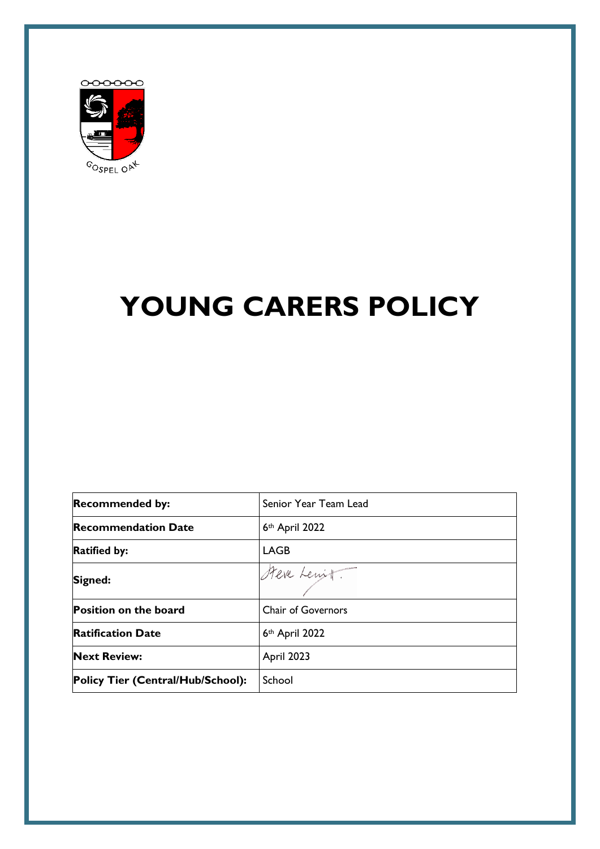

# **YOUNG CARERS POLICY**

| <b>Recommended by:</b>            | Senior Year Team Lead     |
|-----------------------------------|---------------------------|
| <b>Recommendation Date</b>        | 6th April 2022            |
| <b>Ratified by:</b>               | <b>LAGB</b>               |
| Signed:                           | Steve Lenit.              |
| Position on the board             | <b>Chair of Governors</b> |
| <b>Ratification Date</b>          | 6th April 2022            |
| <b>Next Review:</b>               | April 2023                |
| Policy Tier (Central/Hub/School): | School                    |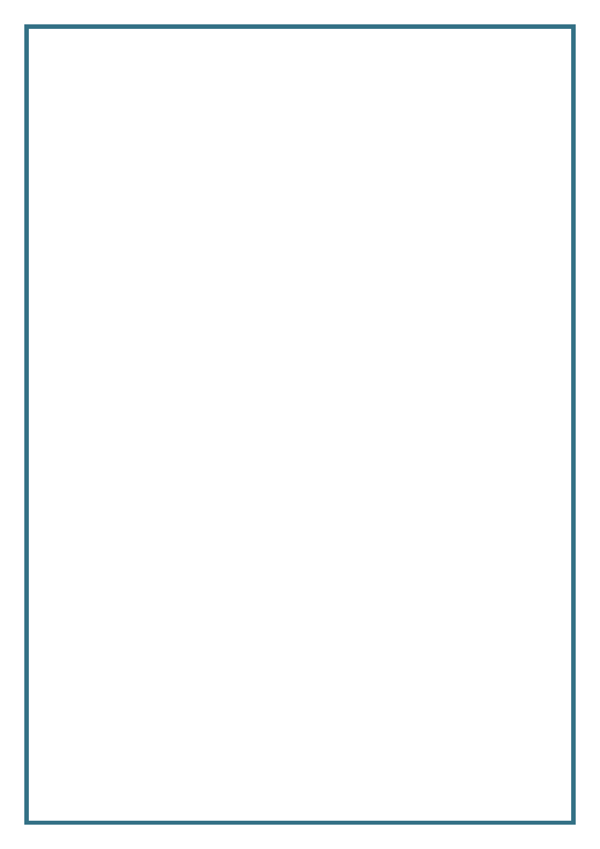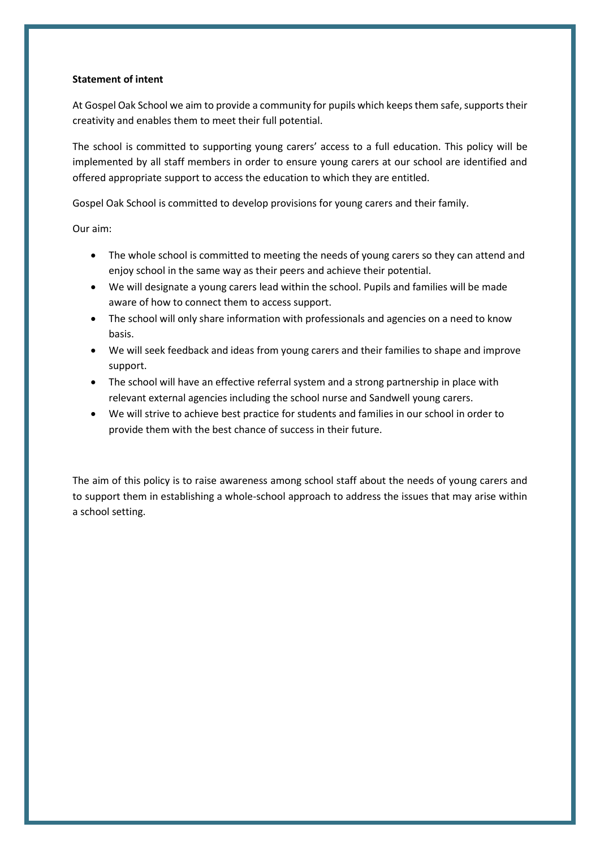## **Statement of intent**

At Gospel Oak School we aim to provide a community for pupils which keeps them safe, supports their creativity and enables them to meet their full potential.

The school is committed to supporting young carers' access to a full education. This policy will be implemented by all staff members in order to ensure young carers at our school are identified and offered appropriate support to access the education to which they are entitled.

Gospel Oak School is committed to develop provisions for young carers and their family.

Our aim:

- The whole school is committed to meeting the needs of young carers so they can attend and enjoy school in the same way as their peers and achieve their potential.
- We will designate a young carers lead within the school. Pupils and families will be made aware of how to connect them to access support.
- The school will only share information with professionals and agencies on a need to know basis.
- We will seek feedback and ideas from young carers and their families to shape and improve support.
- The school will have an effective referral system and a strong partnership in place with relevant external agencies including the school nurse and Sandwell young carers.
- We will strive to achieve best practice for students and families in our school in order to provide them with the best chance of success in their future.

The aim of this policy is to raise awareness among school staff about the needs of young carers and to support them in establishing a whole-school approach to address the issues that may arise within a school setting.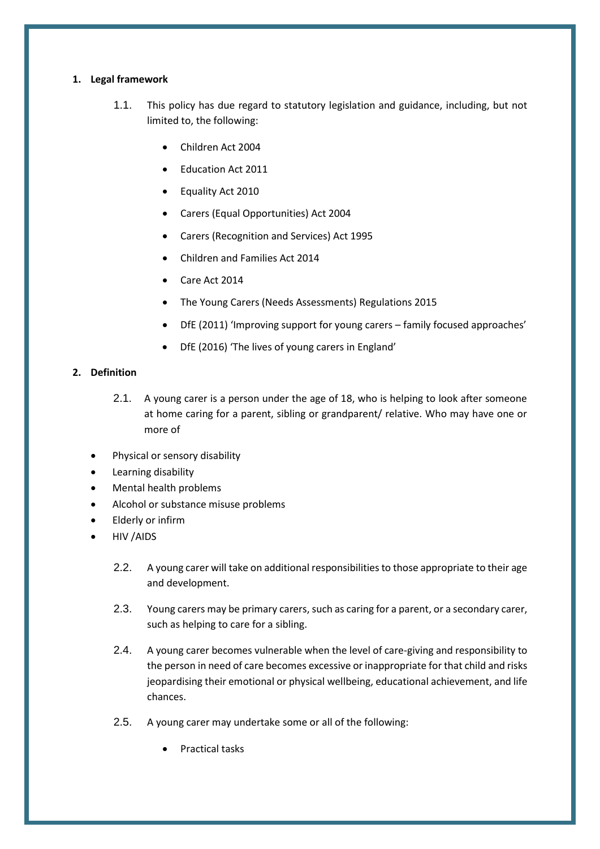## **1. Legal framework**

- 1.1. This policy has due regard to statutory legislation and guidance, including, but not limited to, the following:
	- Children Act 2004
	- Education Act 2011
	- Equality Act 2010
	- Carers (Equal Opportunities) Act 2004
	- Carers (Recognition and Services) Act 1995
	- Children and Families Act 2014
	- Care Act 2014
	- The Young Carers (Needs Assessments) Regulations 2015
	- DfE (2011) 'Improving support for young carers family focused approaches'
	- DfE (2016) 'The lives of young carers in England'

# **2. Definition**

- 2.1. A young carer is a person under the age of 18, who is helping to look after someone at home caring for a parent, sibling or grandparent/ relative. Who may have one or more of
- Physical or sensory disability
- Learning disability
- Mental health problems
- Alcohol or substance misuse problems
- **Elderly or infirm**
- HIV /AIDS
	- 2.2. A young carer will take on additional responsibilities to those appropriate to their age and development.
	- 2.3. Young carers may be primary carers, such as caring for a parent, or a secondary carer, such as helping to care for a sibling.
	- 2.4. A young carer becomes vulnerable when the level of care-giving and responsibility to the person in need of care becomes excessive or inappropriate for that child and risks jeopardising their emotional or physical wellbeing, educational achievement, and life chances.
	- 2.5. A young carer may undertake some or all of the following:
		- Practical tasks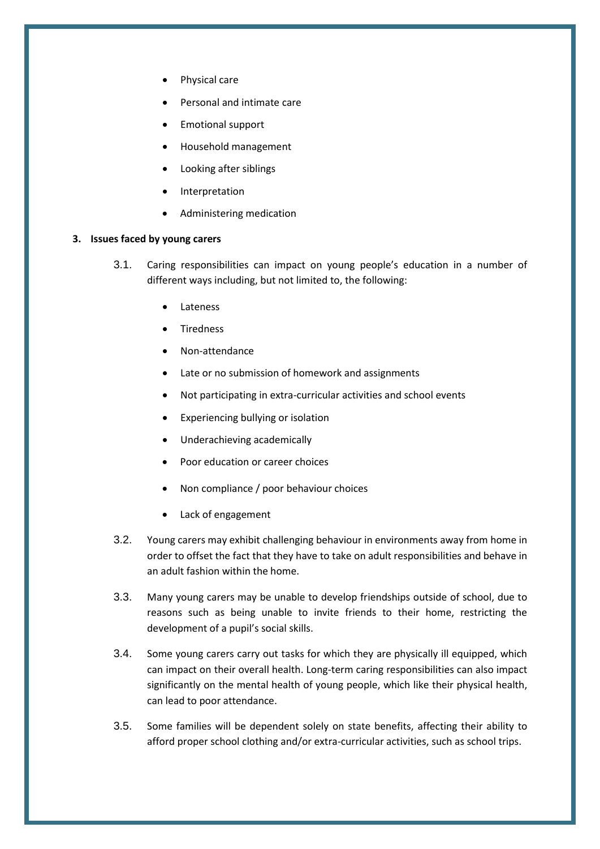- Physical care
- Personal and intimate care
- Emotional support
- Household management
- Looking after siblings
- **Interpretation**
- Administering medication

#### **3. Issues faced by young carers**

- 3.1. Caring responsibilities can impact on young people's education in a number of different ways including, but not limited to, the following:
	- Lateness
	- **Tiredness**
	- Non-attendance
	- Late or no submission of homework and assignments
	- Not participating in extra-curricular activities and school events
	- Experiencing bullying or isolation
	- Underachieving academically
	- Poor education or career choices
	- Non compliance / poor behaviour choices
	- Lack of engagement
- 3.2. Young carers may exhibit challenging behaviour in environments away from home in order to offset the fact that they have to take on adult responsibilities and behave in an adult fashion within the home.
- 3.3. Many young carers may be unable to develop friendships outside of school, due to reasons such as being unable to invite friends to their home, restricting the development of a pupil's social skills.
- 3.4. Some young carers carry out tasks for which they are physically ill equipped, which can impact on their overall health. Long-term caring responsibilities can also impact significantly on the mental health of young people, which like their physical health, can lead to poor attendance.
- 3.5. Some families will be dependent solely on state benefits, affecting their ability to afford proper school clothing and/or extra-curricular activities, such as school trips.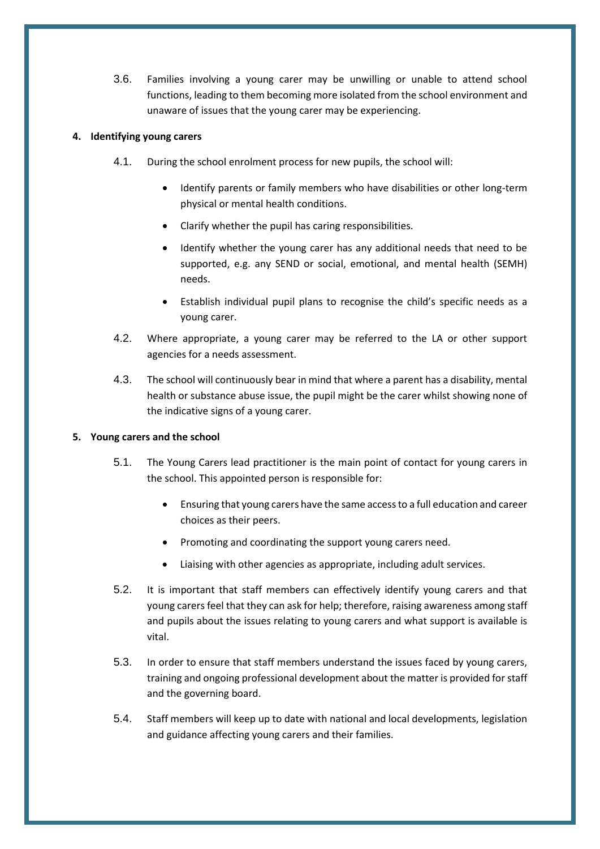3.6. Families involving a young carer may be unwilling or unable to attend school functions, leading to them becoming more isolated from the school environment and unaware of issues that the young carer may be experiencing.

# **4. Identifying young carers**

- 4.1. During the school enrolment process for new pupils, the school will:
	- Identify parents or family members who have disabilities or other long-term physical or mental health conditions.
	- Clarify whether the pupil has caring responsibilities.
	- Identify whether the young carer has any additional needs that need to be supported, e.g. any SEND or social, emotional, and mental health (SEMH) needs.
	- Establish individual pupil plans to recognise the child's specific needs as a young carer.
- 4.2. Where appropriate, a young carer may be referred to the LA or other support agencies for a needs assessment.
- 4.3. The school will continuously bear in mind that where a parent has a disability, mental health or substance abuse issue, the pupil might be the carer whilst showing none of the indicative signs of a young carer.

## **5. Young carers and the school**

- 5.1. The Young Carers lead practitioner is the main point of contact for young carers in the school. This appointed person is responsible for:
	- Ensuring that young carers have the same access to a full education and career choices as their peers.
	- Promoting and coordinating the support young carers need.
	- Liaising with other agencies as appropriate, including adult services.
- 5.2. It is important that staff members can effectively identify young carers and that young carers feel that they can ask for help; therefore, raising awareness among staff and pupils about the issues relating to young carers and what support is available is vital.
- 5.3. In order to ensure that staff members understand the issues faced by young carers, training and ongoing professional development about the matter is provided for staff and the governing board.
- 5.4. Staff members will keep up to date with national and local developments, legislation and guidance affecting young carers and their families.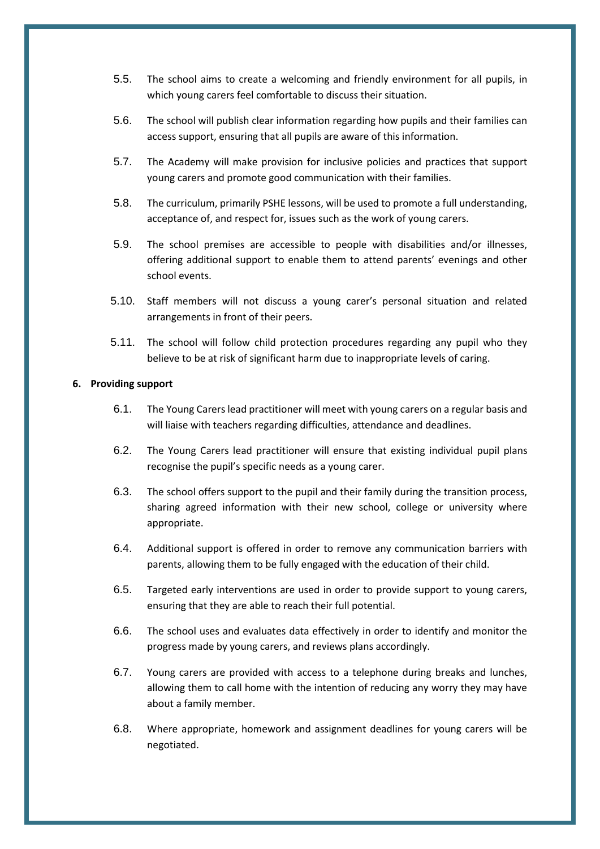- 5.5. The school aims to create a welcoming and friendly environment for all pupils, in which young carers feel comfortable to discuss their situation.
- 5.6. The school will publish clear information regarding how pupils and their families can access support, ensuring that all pupils are aware of this information.
- 5.7. The Academy will make provision for inclusive policies and practices that support young carers and promote good communication with their families.
- 5.8. The curriculum, primarily PSHE lessons, will be used to promote a full understanding, acceptance of, and respect for, issues such as the work of young carers.
- 5.9. The school premises are accessible to people with disabilities and/or illnesses, offering additional support to enable them to attend parents' evenings and other school events.
- 5.10. Staff members will not discuss a young carer's personal situation and related arrangements in front of their peers.
- 5.11. The school will follow child protection procedures regarding any pupil who they believe to be at risk of significant harm due to inappropriate levels of caring.

#### **6. Providing support**

- 6.1. The Young Carers lead practitioner will meet with young carers on a regular basis and will liaise with teachers regarding difficulties, attendance and deadlines.
- 6.2. The Young Carers lead practitioner will ensure that existing individual pupil plans recognise the pupil's specific needs as a young carer.
- 6.3. The school offers support to the pupil and their family during the transition process, sharing agreed information with their new school, college or university where appropriate.
- 6.4. Additional support is offered in order to remove any communication barriers with parents, allowing them to be fully engaged with the education of their child.
- 6.5. Targeted early interventions are used in order to provide support to young carers, ensuring that they are able to reach their full potential.
- 6.6. The school uses and evaluates data effectively in order to identify and monitor the progress made by young carers, and reviews plans accordingly.
- 6.7. Young carers are provided with access to a telephone during breaks and lunches, allowing them to call home with the intention of reducing any worry they may have about a family member.
- 6.8. Where appropriate, homework and assignment deadlines for young carers will be negotiated.